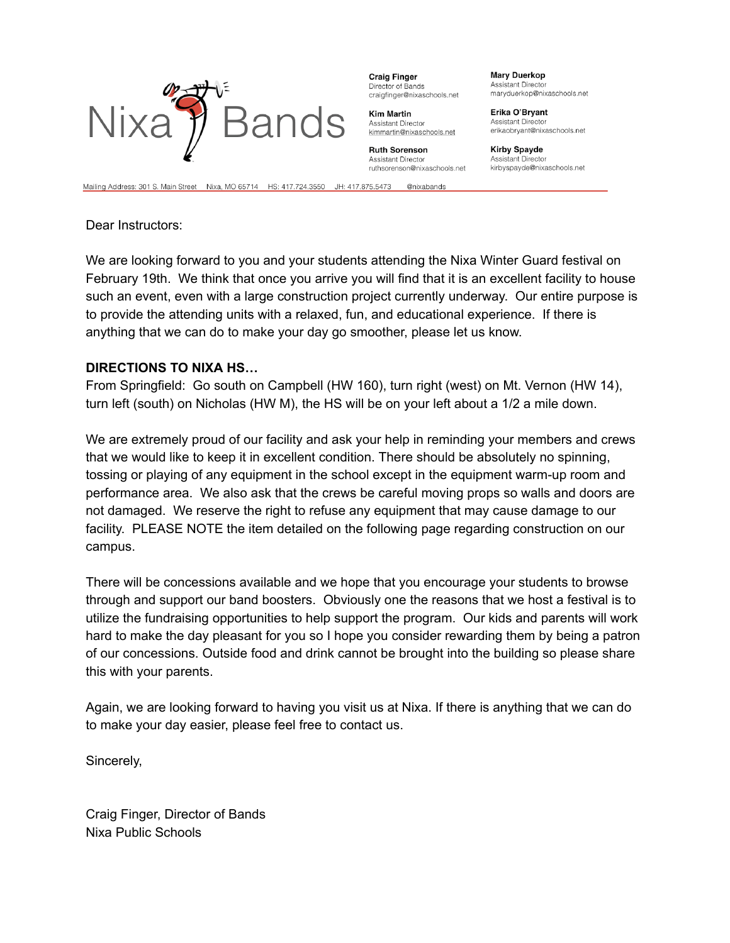

**Craig Finger** Director of Bands craigfinger@nixaschools.net

**Kim Martin** Assistant Director kimmartin@nixaschools.net

**Ruth Sorenson** Assistant Director ruthsorenson@nixaschools.net

**Mary Duerkop** Assistant Directo maryduerkop@nixaschools.net

Erika O'Bryant **Assistant Director** erikaobryant@nixaschools.net

**Kirby Spayde** Assistant Director kirbyspayde@nixaschools.net

Mailing Address: 301 S. Main Street Nixa, MO 65714 HS: 417.724.3550 JH: 417.875.5473 @nixabands

Dear Instructors:

We are looking forward to you and your students attending the Nixa Winter Guard festival on February 19th. We think that once you arrive you will find that it is an excellent facility to house such an event, even with a large construction project currently underway. Our entire purpose is to provide the attending units with a relaxed, fun, and educational experience. If there is anything that we can do to make your day go smoother, please let us know.

## **DIRECTIONS TO NIXA HS…**

From Springfield: Go south on Campbell (HW 160), turn right (west) on Mt. Vernon (HW 14), turn left (south) on Nicholas (HW M), the HS will be on your left about a 1/2 a mile down.

We are extremely proud of our facility and ask your help in reminding your members and crews that we would like to keep it in excellent condition. There should be absolutely no spinning, tossing or playing of any equipment in the school except in the equipment warm-up room and performance area. We also ask that the crews be careful moving props so walls and doors are not damaged. We reserve the right to refuse any equipment that may cause damage to our facility. PLEASE NOTE the item detailed on the following page regarding construction on our campus.

There will be concessions available and we hope that you encourage your students to browse through and support our band boosters. Obviously one the reasons that we host a festival is to utilize the fundraising opportunities to help support the program. Our kids and parents will work hard to make the day pleasant for you so I hope you consider rewarding them by being a patron of our concessions. Outside food and drink cannot be brought into the building so please share this with your parents.

Again, we are looking forward to having you visit us at Nixa. If there is anything that we can do to make your day easier, please feel free to contact us.

Sincerely,

Craig Finger, Director of Bands Nixa Public Schools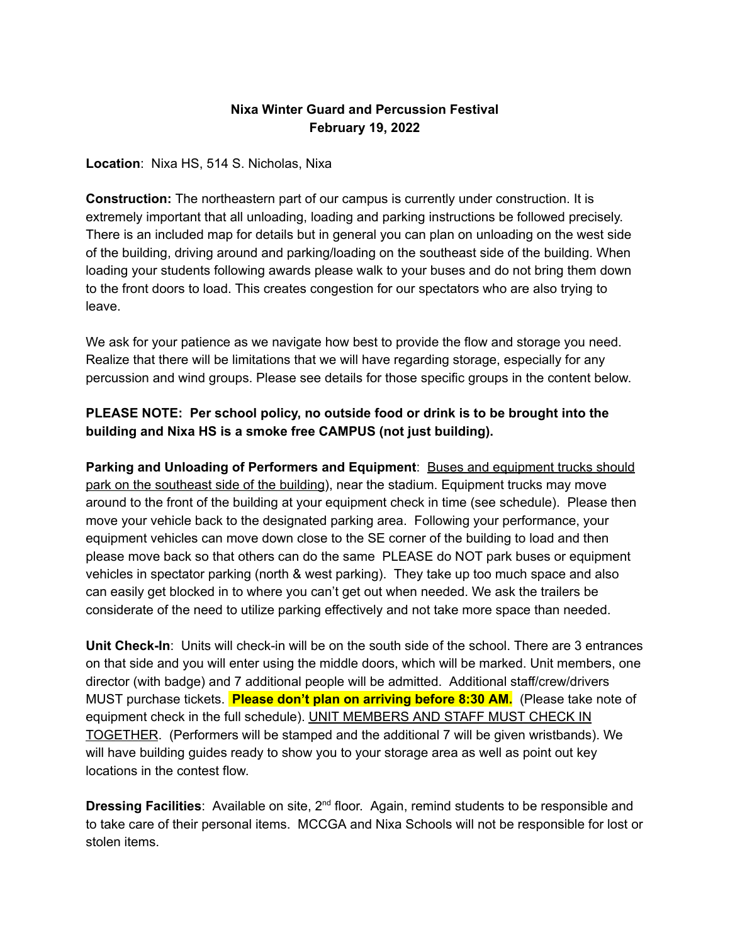## **Nixa Winter Guard and Percussion Festival February 19, 2022**

**Location**: Nixa HS, 514 S. Nicholas, Nixa

**Construction:** The northeastern part of our campus is currently under construction. It is extremely important that all unloading, loading and parking instructions be followed precisely. There is an included map for details but in general you can plan on unloading on the west side of the building, driving around and parking/loading on the southeast side of the building. When loading your students following awards please walk to your buses and do not bring them down to the front doors to load. This creates congestion for our spectators who are also trying to leave.

We ask for your patience as we navigate how best to provide the flow and storage you need. Realize that there will be limitations that we will have regarding storage, especially for any percussion and wind groups. Please see details for those specific groups in the content below.

## **PLEASE NOTE: Per school policy, no outside food or drink is to be brought into the building and Nixa HS is a smoke free CAMPUS (not just building).**

**Parking and Unloading of Performers and Equipment**: Buses and equipment trucks should park on the southeast side of the building), near the stadium. Equipment trucks may move around to the front of the building at your equipment check in time (see schedule). Please then move your vehicle back to the designated parking area. Following your performance, your equipment vehicles can move down close to the SE corner of the building to load and then please move back so that others can do the same PLEASE do NOT park buses or equipment vehicles in spectator parking (north & west parking). They take up too much space and also can easily get blocked in to where you can't get out when needed. We ask the trailers be considerate of the need to utilize parking effectively and not take more space than needed.

**Unit Check-In**: Units will check-in will be on the south side of the school. There are 3 entrances on that side and you will enter using the middle doors, which will be marked. Unit members, one director (with badge) and 7 additional people will be admitted. Additional staff/crew/drivers MUST purchase tickets. **Please don't plan on arriving before 8:30 AM.** (Please take note of equipment check in the full schedule). UNIT MEMBERS AND STAFF MUST CHECK IN TOGETHER. (Performers will be stamped and the additional 7 will be given wristbands). We will have building guides ready to show you to your storage area as well as point out key locations in the contest flow.

**Dressing Facilities**: Available on site, 2<sup>nd</sup> floor. Again, remind students to be responsible and to take care of their personal items. MCCGA and Nixa Schools will not be responsible for lost or stolen items.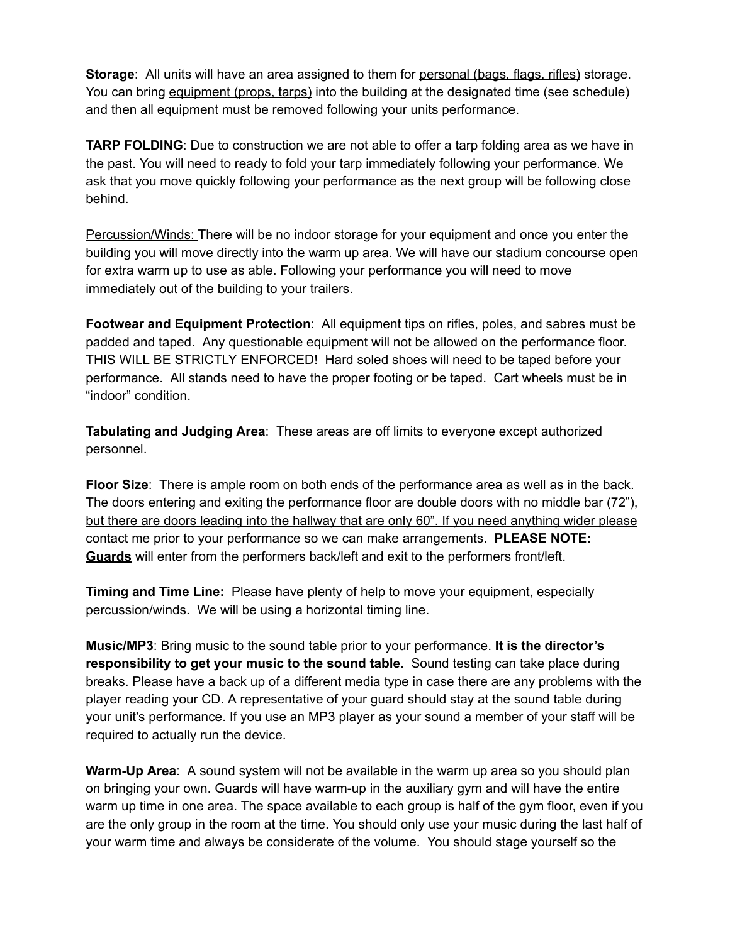**Storage**: All units will have an area assigned to them for personal (bags, flags, rifles) storage. You can bring equipment (props, tarps) into the building at the designated time (see schedule) and then all equipment must be removed following your units performance.

**TARP FOLDING**: Due to construction we are not able to offer a tarp folding area as we have in the past. You will need to ready to fold your tarp immediately following your performance. We ask that you move quickly following your performance as the next group will be following close behind.

Percussion/Winds: There will be no indoor storage for your equipment and once you enter the building you will move directly into the warm up area. We will have our stadium concourse open for extra warm up to use as able. Following your performance you will need to move immediately out of the building to your trailers.

**Footwear and Equipment Protection**: All equipment tips on rifles, poles, and sabres must be padded and taped. Any questionable equipment will not be allowed on the performance floor. THIS WILL BE STRICTLY ENFORCED! Hard soled shoes will need to be taped before your performance. All stands need to have the proper footing or be taped. Cart wheels must be in "indoor" condition.

**Tabulating and Judging Area**: These areas are off limits to everyone except authorized personnel.

**Floor Size**: There is ample room on both ends of the performance area as well as in the back. The doors entering and exiting the performance floor are double doors with no middle bar (72"), but there are doors leading into the hallway that are only 60". If you need anything wider please contact me prior to your performance so we can make arrangements. **PLEASE NOTE: Guards** will enter from the performers back/left and exit to the performers front/left.

**Timing and Time Line:** Please have plenty of help to move your equipment, especially percussion/winds. We will be using a horizontal timing line.

**Music/MP3**: Bring music to the sound table prior to your performance. **It is the director's responsibility to get your music to the sound table.** Sound testing can take place during breaks. Please have a back up of a different media type in case there are any problems with the player reading your CD. A representative of your guard should stay at the sound table during your unit's performance. If you use an MP3 player as your sound a member of your staff will be required to actually run the device.

**Warm-Up Area**: A sound system will not be available in the warm up area so you should plan on bringing your own. Guards will have warm-up in the auxiliary gym and will have the entire warm up time in one area. The space available to each group is half of the gym floor, even if you are the only group in the room at the time. You should only use your music during the last half of your warm time and always be considerate of the volume. You should stage yourself so the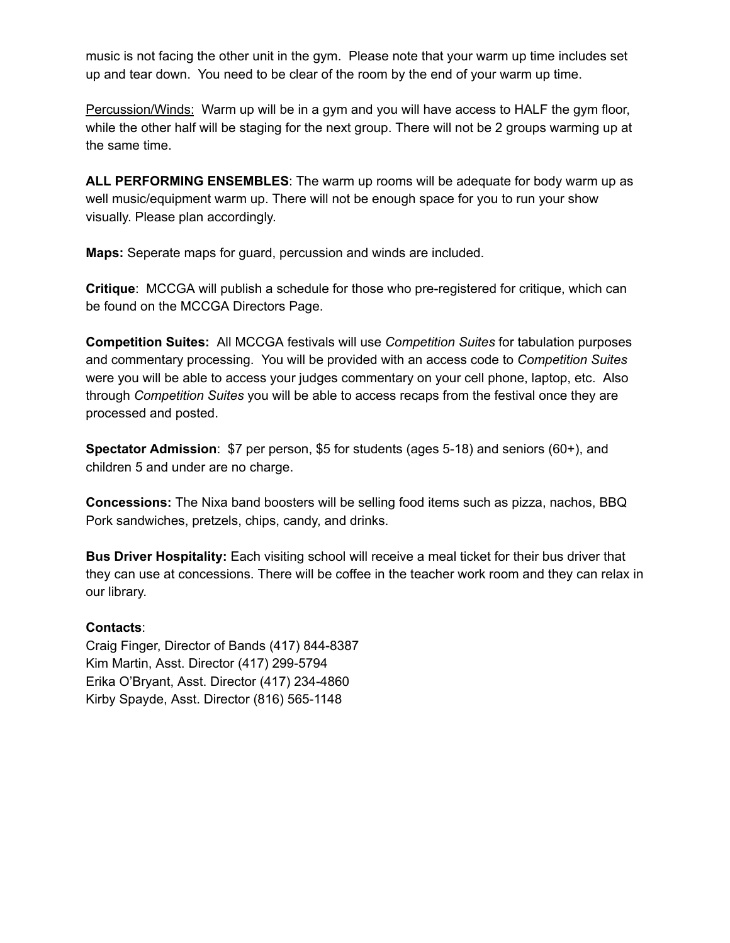music is not facing the other unit in the gym. Please note that your warm up time includes set up and tear down. You need to be clear of the room by the end of your warm up time.

Percussion/Winds: Warm up will be in a gym and you will have access to HALF the gym floor, while the other half will be staging for the next group. There will not be 2 groups warming up at the same time.

**ALL PERFORMING ENSEMBLES**: The warm up rooms will be adequate for body warm up as well music/equipment warm up. There will not be enough space for you to run your show visually. Please plan accordingly.

**Maps:** Seperate maps for guard, percussion and winds are included.

**Critique**: MCCGA will publish a schedule for those who pre-registered for critique, which can be found on the MCCGA Directors Page.

**Competition Suites:** All MCCGA festivals will use *Competition Suites* for tabulation purposes and commentary processing. You will be provided with an access code to *Competition Suites* were you will be able to access your judges commentary on your cell phone, laptop, etc. Also through *Competition Suites* you will be able to access recaps from the festival once they are processed and posted.

**Spectator Admission**: \$7 per person, \$5 for students (ages 5-18) and seniors (60+), and children 5 and under are no charge.

**Concessions:** The Nixa band boosters will be selling food items such as pizza, nachos, BBQ Pork sandwiches, pretzels, chips, candy, and drinks.

**Bus Driver Hospitality:** Each visiting school will receive a meal ticket for their bus driver that they can use at concessions. There will be coffee in the teacher work room and they can relax in our library.

## **Contacts**:

Craig Finger, Director of Bands (417) 844-8387 Kim Martin, Asst. Director (417) 299-5794 Erika O'Bryant, Asst. Director (417) 234-4860 Kirby Spayde, Asst. Director (816) 565-1148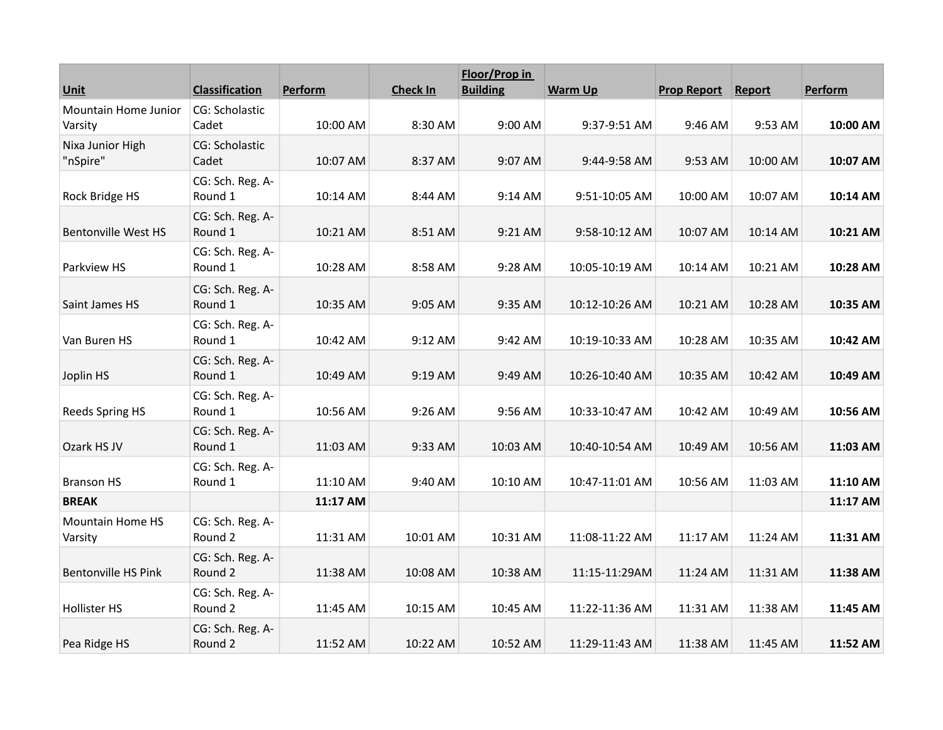|                            |                             |          |                 | Floor/Prop in   |                |                    |          |          |
|----------------------------|-----------------------------|----------|-----------------|-----------------|----------------|--------------------|----------|----------|
| Unit                       | <b>Classification</b>       | Perform  | <b>Check In</b> | <b>Building</b> | <b>Warm Up</b> | <b>Prop Report</b> | Report   | Perform  |
| Mountain Home Junior       | CG: Scholastic              |          |                 |                 |                |                    |          |          |
| Varsity                    | Cadet                       | 10:00 AM | 8:30 AM         | 9:00 AM         | 9:37-9:51 AM   | 9:46 AM            | 9:53 AM  | 10:00 AM |
| Nixa Junior High           | CG: Scholastic              |          |                 |                 |                |                    |          |          |
| "nSpire"                   | Cadet                       | 10:07 AM | 8:37 AM         | 9:07 AM         | 9:44-9:58 AM   | 9:53 AM            | 10:00 AM | 10:07 AM |
| Rock Bridge HS             | CG: Sch. Reg. A-<br>Round 1 | 10:14 AM | 8:44 AM         | 9:14 AM         | 9:51-10:05 AM  | 10:00 AM           | 10:07 AM | 10:14 AM |
|                            | CG: Sch. Reg. A-            |          |                 |                 |                |                    |          |          |
| <b>Bentonville West HS</b> | Round 1                     | 10:21 AM | 8:51 AM         | 9:21 AM         | 9:58-10:12 AM  | 10:07 AM           | 10:14 AM | 10:21 AM |
|                            | CG: Sch. Reg. A-            |          |                 |                 |                |                    |          |          |
| Parkview HS                | Round 1                     | 10:28 AM | 8:58 AM         | 9:28 AM         | 10:05-10:19 AM | 10:14 AM           | 10:21 AM | 10:28 AM |
|                            | CG: Sch. Reg. A-            |          |                 |                 |                |                    |          |          |
| Saint James HS             | Round 1                     | 10:35 AM | 9:05 AM         | 9:35 AM         | 10:12-10:26 AM | 10:21 AM           | 10:28 AM | 10:35 AM |
|                            | CG: Sch. Reg. A-            |          |                 |                 |                |                    |          |          |
| Van Buren HS               | Round 1                     | 10:42 AM | 9:12 AM         | 9:42 AM         | 10:19-10:33 AM | 10:28 AM           | 10:35 AM | 10:42 AM |
|                            | CG: Sch. Reg. A-            |          |                 |                 |                |                    |          |          |
| Joplin HS                  | Round 1                     | 10:49 AM | 9:19 AM         | 9:49 AM         | 10:26-10:40 AM | 10:35 AM           | 10:42 AM | 10:49 AM |
|                            | CG: Sch. Reg. A-            |          |                 |                 |                |                    |          |          |
| Reeds Spring HS            | Round 1                     | 10:56 AM | 9:26 AM         | 9:56 AM         | 10:33-10:47 AM | 10:42 AM           | 10:49 AM | 10:56 AM |
|                            | CG: Sch. Reg. A-            |          |                 |                 |                |                    |          |          |
| Ozark HS JV                | Round 1                     | 11:03 AM | 9:33 AM         | 10:03 AM        | 10:40-10:54 AM | 10:49 AM           | 10:56 AM | 11:03 AM |
|                            | CG: Sch. Reg. A-            |          |                 |                 |                |                    |          |          |
| <b>Branson HS</b>          | Round 1                     | 11:10 AM | 9:40 AM         | 10:10 AM        | 10:47-11:01 AM | 10:56 AM           | 11:03 AM | 11:10 AM |
| <b>BREAK</b>               |                             | 11:17 AM |                 |                 |                |                    |          | 11:17 AM |
| <b>Mountain Home HS</b>    | CG: Sch. Reg. A-            |          |                 |                 |                |                    |          |          |
| Varsity                    | Round 2                     | 11:31 AM | 10:01 AM        | 10:31 AM        | 11:08-11:22 AM | 11:17 AM           | 11:24 AM | 11:31 AM |
|                            | CG: Sch. Reg. A-            |          |                 |                 |                |                    |          |          |
| Bentonville HS Pink        | Round 2                     | 11:38 AM | 10:08 AM        | 10:38 AM        | 11:15-11:29AM  | 11:24 AM           | 11:31 AM | 11:38 AM |
|                            | CG: Sch. Reg. A-            |          |                 |                 |                |                    |          |          |
| <b>Hollister HS</b>        | Round 2                     | 11:45 AM | 10:15 AM        | 10:45 AM        | 11:22-11:36 AM | 11:31 AM           | 11:38 AM | 11:45 AM |
|                            | CG: Sch. Reg. A-            |          |                 |                 |                |                    |          |          |
| Pea Ridge HS               | Round 2                     | 11:52 AM | 10:22 AM        | 10:52 AM        | 11:29-11:43 AM | 11:38 AM           | 11:45 AM | 11:52 AM |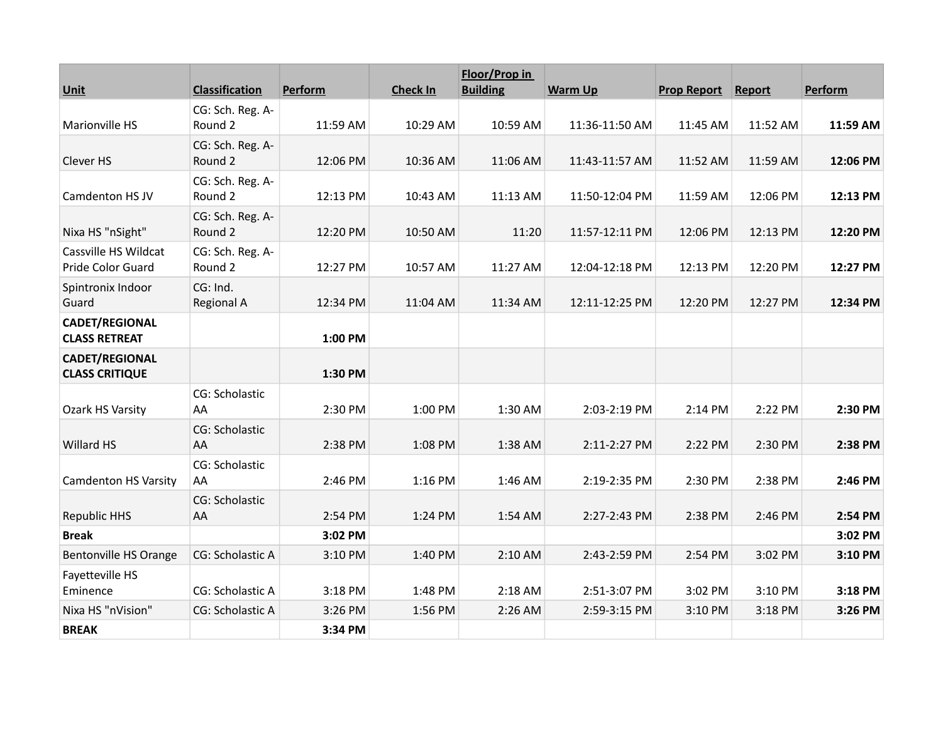|                                                | <b>Classification</b>         |          | <b>Check In</b> | Floor/Prop in<br><b>Building</b> |                | <b>Prop Report</b> |          |          |
|------------------------------------------------|-------------------------------|----------|-----------------|----------------------------------|----------------|--------------------|----------|----------|
| <b>Unit</b>                                    |                               | Perform  |                 |                                  | <b>Warm Up</b> |                    | Report   | Perform  |
| <b>Marionville HS</b>                          | CG: Sch. Reg. A-<br>Round 2   | 11:59 AM | 10:29 AM        | 10:59 AM                         | 11:36-11:50 AM | 11:45 AM           | 11:52 AM | 11:59 AM |
| Clever HS                                      | CG: Sch. Reg. A-<br>Round 2   | 12:06 PM | 10:36 AM        | 11:06 AM                         | 11:43-11:57 AM | 11:52 AM           | 11:59 AM | 12:06 PM |
| Camdenton HS JV                                | CG: Sch. Reg. A-<br>Round 2   | 12:13 PM | 10:43 AM        | 11:13 AM                         | 11:50-12:04 PM | 11:59 AM           | 12:06 PM | 12:13 PM |
| Nixa HS "nSight"                               | CG: Sch. Reg. A-<br>Round 2   | 12:20 PM | 10:50 AM        | 11:20                            | 11:57-12:11 PM | 12:06 PM           | 12:13 PM | 12:20 PM |
| Cassville HS Wildcat<br>Pride Color Guard      | CG: Sch. Reg. A-<br>Round 2   | 12:27 PM | 10:57 AM        | 11:27 AM                         | 12:04-12:18 PM | 12:13 PM           | 12:20 PM | 12:27 PM |
| Spintronix Indoor<br>Guard                     | CG: Ind.<br><b>Regional A</b> | 12:34 PM | 11:04 AM        | 11:34 AM                         | 12:11-12:25 PM | 12:20 PM           | 12:27 PM | 12:34 PM |
| <b>CADET/REGIONAL</b><br><b>CLASS RETREAT</b>  |                               | 1:00 PM  |                 |                                  |                |                    |          |          |
| <b>CADET/REGIONAL</b><br><b>CLASS CRITIQUE</b> |                               | 1:30 PM  |                 |                                  |                |                    |          |          |
| Ozark HS Varsity                               | CG: Scholastic<br>AA          | 2:30 PM  | 1:00 PM         | 1:30 AM                          | 2:03-2:19 PM   | 2:14 PM            | 2:22 PM  | 2:30 PM  |
| Willard HS                                     | CG: Scholastic<br>AA          | 2:38 PM  | 1:08 PM         | 1:38 AM                          | 2:11-2:27 PM   | 2:22 PM            | 2:30 PM  | 2:38 PM  |
| <b>Camdenton HS Varsity</b>                    | CG: Scholastic<br>AA          | 2:46 PM  | 1:16 PM         | 1:46 AM                          | 2:19-2:35 PM   | 2:30 PM            | 2:38 PM  | 2:46 PM  |
| <b>Republic HHS</b>                            | CG: Scholastic<br>AA          | 2:54 PM  | 1:24 PM         | 1:54 AM                          | 2:27-2:43 PM   | 2:38 PM            | 2:46 PM  | 2:54 PM  |
| <b>Break</b>                                   |                               | 3:02 PM  |                 |                                  |                |                    |          | 3:02 PM  |
| <b>Bentonville HS Orange</b>                   | CG: Scholastic A              | 3:10 PM  | 1:40 PM         | 2:10 AM                          | 2:43-2:59 PM   | 2:54 PM            | 3:02 PM  | 3:10 PM  |
| Fayetteville HS<br>Eminence                    | CG: Scholastic A              | 3:18 PM  | 1:48 PM         | 2:18 AM                          | 2:51-3:07 PM   | 3:02 PM            | 3:10 PM  | 3:18 PM  |
| Nixa HS "nVision"                              | CG: Scholastic A              | 3:26 PM  | 1:56 PM         | 2:26 AM                          | 2:59-3:15 PM   | 3:10 PM            | 3:18 PM  | 3:26 PM  |
| <b>BREAK</b>                                   |                               | 3:34 PM  |                 |                                  |                |                    |          |          |